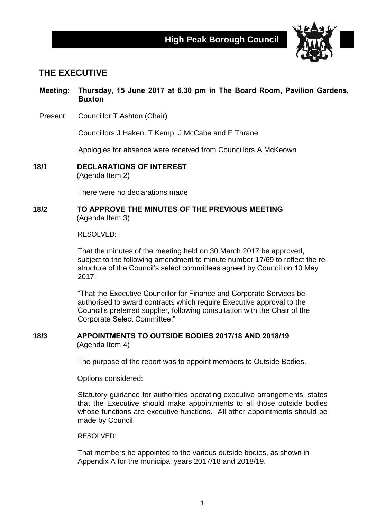

# **THE EXECUTIVE**

**Meeting: Thursday, 15 June 2017 at 6.30 pm in The Board Room, Pavilion Gardens, Buxton**

Present: Councillor T Ashton (Chair)

Councillors J Haken, T Kemp, J McCabe and E Thrane

Apologies for absence were received from Councillors A McKeown

**18/1 DECLARATIONS OF INTEREST** (Agenda Item 2)

There were no declarations made.

#### **18/2 TO APPROVE THE MINUTES OF THE PREVIOUS MEETING** (Agenda Item 3)

RESOLVED:

That the minutes of the meeting held on 30 March 2017 be approved, subject to the following amendment to minute number 17/69 to reflect the restructure of the Council's select committees agreed by Council on 10 May  $2017$ 

"That the Executive Councillor for Finance and Corporate Services be authorised to award contracts which require Executive approval to the Council's preferred supplier, following consultation with the Chair of the Corporate Select Committee."

#### **18/3 APPOINTMENTS TO OUTSIDE BODIES 2017/18 AND 2018/19** (Agenda Item 4)

The purpose of the report was to appoint members to Outside Bodies.

Options considered:

Statutory guidance for authorities operating executive arrangements, states that the Executive should make appointments to all those outside bodies whose functions are executive functions. All other appointments should be made by Council.

RESOLVED:

That members be appointed to the various outside bodies, as shown in Appendix A for the municipal years 2017/18 and 2018/19.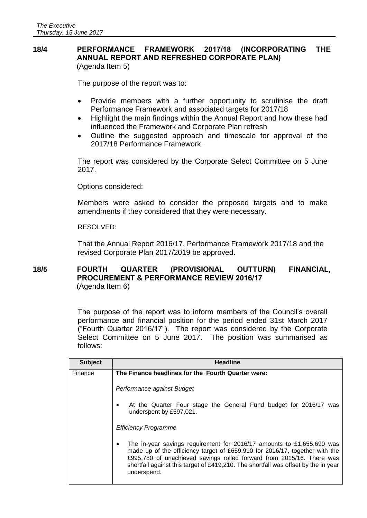#### **18/4 PERFORMANCE FRAMEWORK 2017/18 (INCORPORATING THE ANNUAL REPORT AND REFRESHED CORPORATE PLAN)** (Agenda Item 5)

The purpose of the report was to:

- Provide members with a further opportunity to scrutinise the draft Performance Framework and associated targets for 2017/18
- Highlight the main findings within the Annual Report and how these had influenced the Framework and Corporate Plan refresh
- Outline the suggested approach and timescale for approval of the 2017/18 Performance Framework.

The report was considered by the Corporate Select Committee on 5 June 2017.

Options considered:

Members were asked to consider the proposed targets and to make amendments if they considered that they were necessary.

RESOLVED:

That the Annual Report 2016/17, Performance Framework 2017/18 and the revised Corporate Plan 2017/2019 be approved.

#### **18/5 FOURTH QUARTER (PROVISIONAL OUTTURN) FINANCIAL, PROCUREMENT & PERFORMANCE REVIEW 2016/17** (Agenda Item 6)

The purpose of the report was to inform members of the Council's overall performance and financial position for the period ended 31st March 2017 ("Fourth Quarter 2016/17"). The report was considered by the Corporate Select Committee on 5 June 2017. The position was summarised as follows:

| <b>Subject</b> | <b>Headline</b>                                                                                                                                                                                                                                                                                                                    |
|----------------|------------------------------------------------------------------------------------------------------------------------------------------------------------------------------------------------------------------------------------------------------------------------------------------------------------------------------------|
| Finance        | The Finance headlines for the Fourth Quarter were:                                                                                                                                                                                                                                                                                 |
|                | Performance against Budget                                                                                                                                                                                                                                                                                                         |
|                | At the Quarter Four stage the General Fund budget for 2016/17 was<br>underspent by £697,021.                                                                                                                                                                                                                                       |
|                | <b>Efficiency Programme</b>                                                                                                                                                                                                                                                                                                        |
|                | The in-year savings requirement for 2016/17 amounts to £1,655,690 was<br>made up of the efficiency target of £659,910 for 2016/17, together with the<br>£995,780 of unachieved savings rolled forward from 2015/16. There was<br>shortfall against this target of £419,210. The shortfall was offset by the in year<br>underspend. |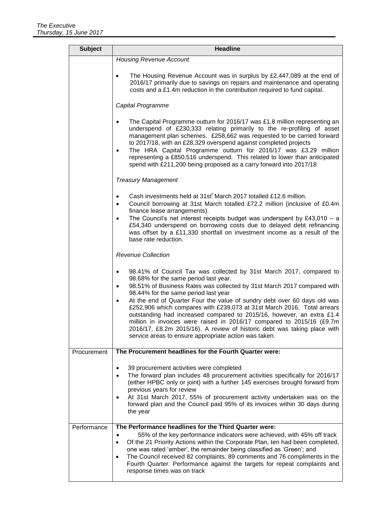| <b>Subject</b> | <b>Headline</b>                                                                                                                                                                                                                                                                                                                                                                                                                                                                                                                                                                                                                                                               |
|----------------|-------------------------------------------------------------------------------------------------------------------------------------------------------------------------------------------------------------------------------------------------------------------------------------------------------------------------------------------------------------------------------------------------------------------------------------------------------------------------------------------------------------------------------------------------------------------------------------------------------------------------------------------------------------------------------|
|                | <b>Housing Revenue Account</b>                                                                                                                                                                                                                                                                                                                                                                                                                                                                                                                                                                                                                                                |
|                | The Housing Revenue Account was in surplus by £2,447,089 at the end of<br>2016/17 primarily due to savings on repairs and maintenance and operating<br>costs and a £1.4m reduction in the contribution required to fund capital.                                                                                                                                                                                                                                                                                                                                                                                                                                              |
|                | Capital Programme                                                                                                                                                                                                                                                                                                                                                                                                                                                                                                                                                                                                                                                             |
|                | The Capital Programme outturn for 2016/17 was £1.8 million representing an<br>underspend of £230,333 relating primarily to the re-profiling of asset<br>management plan schemes. £258,662 was requested to be carried forward<br>to 2017/18, with an £28,329 overspend against completed projects<br>The HRA Capital Programme outturn for 2016/17 was £3.29 million<br>representing a £850,516 underspend. This related to lower than anticipated<br>spend with £211,200 being proposed as a carry forward into 2017/18                                                                                                                                                      |
|                | <b>Treasury Management</b>                                                                                                                                                                                                                                                                                                                                                                                                                                                                                                                                                                                                                                                    |
|                | Cash investments held at 31st <sup>t</sup> March 2017 totalled £12.6 million.<br>Council borrowing at 31st March totalled £72.2 million (inclusive of £0.4m<br>finance lease arrangements).<br>The Council's net interest receipts budget was underspent by £43,010 $-$ a<br>$\bullet$<br>£54,340 underspend on borrowing costs due to delayed debt refinancing<br>was offset by a £11,330 shortfall on investment income as a result of the<br>base rate reduction.                                                                                                                                                                                                          |
|                | <b>Revenue Collection</b>                                                                                                                                                                                                                                                                                                                                                                                                                                                                                                                                                                                                                                                     |
|                | 98.41% of Council Tax was collected by 31st March 2017, compared to<br>98.68% for the same period last year.<br>98.51% of Business Rates was collected by 31st March 2017 compared with<br>98.44% for the same period last year<br>At the end of Quarter Four the value of sundry debt over 60 days old was<br>£252,906 which compares with £239,073 at 31st March 2016. Total arrears<br>outstanding had increased compared to 2015/16, however, an extra £1.4<br>million in invoices were raised in 2016/17 compared to 2015/16 (£9.7m<br>2016/17, £8.2m 2015/16). A review of historic debt was taking place with<br>service areas to ensure appropriate action was taken. |
| Procurement    | The Procurement headlines for the Fourth Quarter were:                                                                                                                                                                                                                                                                                                                                                                                                                                                                                                                                                                                                                        |
|                | 39 procurement activities were completed<br>The forward plan includes 48 procurement activities specifically for 2016/17<br>(either HPBC only or joint) with a further 145 exercises brought forward from<br>previous years for review<br>At 31st March 2017, 55% of procurement activity undertaken was on the<br>forward plan and the Council paid 95% of its invoices within 30 days during<br>the year                                                                                                                                                                                                                                                                    |
| Performance    | The Performance headlines for the Third Quarter were:<br>55% of the key performance indicators were achieved, with 45% off track<br>Of the 21 Priority Actions within the Corporate Plan, ten had been completed,<br>$\bullet$<br>one was rated 'amber', the remainder being classified as 'Green'; and<br>The Council received 82 complaints, 89 comments and 76 compliments in the<br>$\bullet$<br>Fourth Quarter. Performance against the targets for repeat complaints and<br>response times was on track                                                                                                                                                                 |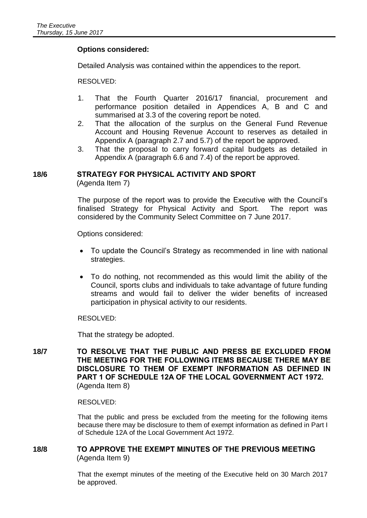#### **Options considered:**

Detailed Analysis was contained within the appendices to the report.

RESOLVED:

- 1. That the Fourth Quarter 2016/17 financial, procurement and performance position detailed in Appendices A, B and C and summarised at 3.3 of the covering report be noted.
- 2. That the allocation of the surplus on the General Fund Revenue Account and Housing Revenue Account to reserves as detailed in Appendix A (paragraph 2.7 and 5.7) of the report be approved.
- 3. That the proposal to carry forward capital budgets as detailed in Appendix A (paragraph 6.6 and 7.4) of the report be approved.

#### **18/6 STRATEGY FOR PHYSICAL ACTIVITY AND SPORT**

(Agenda Item 7)

The purpose of the report was to provide the Executive with the Council's finalised Strategy for Physical Activity and Sport. The report was considered by the Community Select Committee on 7 June 2017.

Options considered:

- To update the Council's Strategy as recommended in line with national strategies.
- To do nothing, not recommended as this would limit the ability of the Council, sports clubs and individuals to take advantage of future funding streams and would fail to deliver the wider benefits of increased participation in physical activity to our residents.

RESOLVED:

That the strategy be adopted.

**18/7 TO RESOLVE THAT THE PUBLIC AND PRESS BE EXCLUDED FROM THE MEETING FOR THE FOLLOWING ITEMS BECAUSE THERE MAY BE DISCLOSURE TO THEM OF EXEMPT INFORMATION AS DEFINED IN PART 1 OF SCHEDULE 12A OF THE LOCAL GOVERNMENT ACT 1972.** (Agenda Item 8)

RESOLVED:

That the public and press be excluded from the meeting for the following items because there may be disclosure to them of exempt information as defined in Part I of Schedule 12A of the Local Government Act 1972.

#### **18/8 TO APPROVE THE EXEMPT MINUTES OF THE PREVIOUS MEETING** (Agenda Item 9)

That the exempt minutes of the meeting of the Executive held on 30 March 2017 be approved.